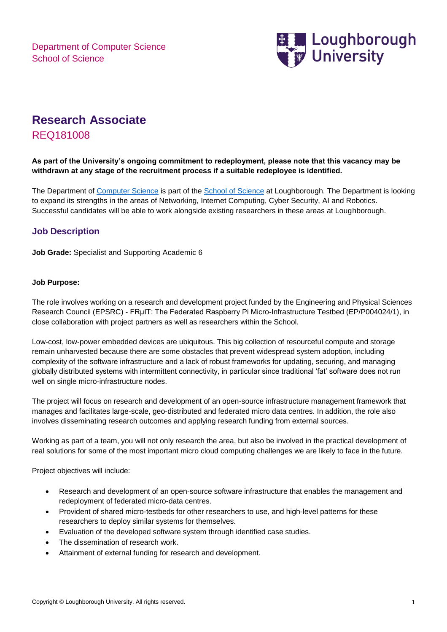

# **Research Associate**  REQ181008

#### **As part of the University's ongoing commitment to redeployment, please note that this vacancy may be withdrawn at any stage of the recruitment process if a suitable redeployee is identified.**

The Department of [Computer Science](http://www.lboro.ac.uk/departments/compsci/) is part of the [School of Science](http://www.lboro.ac.uk/science/) at Loughborough. The Department is looking to expand its strengths in the areas of Networking, Internet Computing, Cyber Security, AI and Robotics. Successful candidates will be able to work alongside existing researchers in these areas at Loughborough.

## **Job Description**

**Job Grade:** Specialist and Supporting Academic 6

#### **Job Purpose:**

The role involves working on a research and development project funded by the Engineering and Physical Sciences Research Council (EPSRC) - FRμIT: The Federated Raspberry Pi Micro-Infrastructure Testbed (EP/P004024/1), in close collaboration with project partners as well as researchers within the School.

Low-cost, low-power embedded devices are ubiquitous. This big collection of resourceful compute and storage remain unharvested because there are some obstacles that prevent widespread system adoption, including complexity of the software infrastructure and a lack of robust frameworks for updating, securing, and managing globally distributed systems with intermittent connectivity, in particular since traditional 'fat' software does not run well on single micro-infrastructure nodes.

The project will focus on research and development of an open-source infrastructure management framework that manages and facilitates large-scale, geo-distributed and federated micro data centres. In addition, the role also involves disseminating research outcomes and applying research funding from external sources.

Working as part of a team, you will not only research the area, but also be involved in the practical development of real solutions for some of the most important micro cloud computing challenges we are likely to face in the future.

Project objectives will include:

- Research and development of an open-source software infrastructure that enables the management and redeployment of federated micro-data centres.
- Provident of shared micro-testbeds for other researchers to use, and high-level patterns for these researchers to deploy similar systems for themselves.
- Evaluation of the developed software system through identified case studies.
- The dissemination of research work.
- Attainment of external funding for research and development.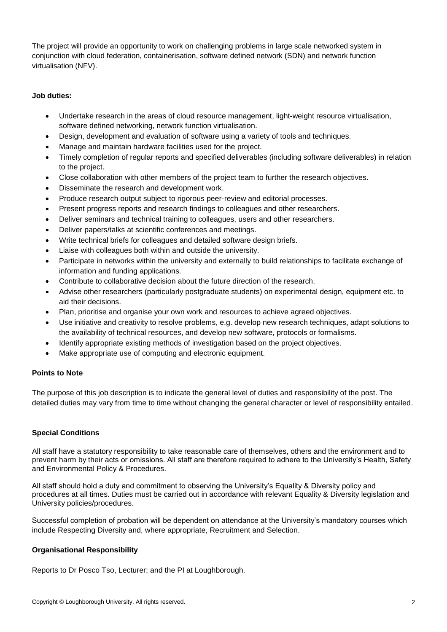The project will provide an opportunity to work on challenging problems in large scale networked system in conjunction with cloud federation, containerisation, software defined network (SDN) and network function virtualisation (NFV).

#### **Job duties:**

- Undertake research in the areas of cloud resource management, light-weight resource virtualisation, software defined networking, network function virtualisation.
- Design, development and evaluation of software using a variety of tools and techniques.
- Manage and maintain hardware facilities used for the project.
- Timely completion of regular reports and specified deliverables (including software deliverables) in relation to the project.
- Close collaboration with other members of the project team to further the research objectives.
- Disseminate the research and development work.
- Produce research output subject to rigorous peer-review and editorial processes.
- Present progress reports and research findings to colleagues and other researchers.
- Deliver seminars and technical training to colleagues, users and other researchers.
- Deliver papers/talks at scientific conferences and meetings.
- Write technical briefs for colleagues and detailed software design briefs.
- Liaise with colleagues both within and outside the university.
- Participate in networks within the university and externally to build relationships to facilitate exchange of information and funding applications.
- Contribute to collaborative decision about the future direction of the research.
- Advise other researchers (particularly postgraduate students) on experimental design, equipment etc. to aid their decisions.
- Plan, prioritise and organise your own work and resources to achieve agreed objectives.
- Use initiative and creativity to resolve problems, e.g. develop new research techniques, adapt solutions to the availability of technical resources, and develop new software, protocols or formalisms.
- Identify appropriate existing methods of investigation based on the project objectives.
- Make appropriate use of computing and electronic equipment.

#### **Points to Note**

The purpose of this job description is to indicate the general level of duties and responsibility of the post. The detailed duties may vary from time to time without changing the general character or level of responsibility entailed.

## **Special Conditions**

All staff have a statutory responsibility to take reasonable care of themselves, others and the environment and to prevent harm by their acts or omissions. All staff are therefore required to adhere to the University's Health, Safety and Environmental Policy & Procedures.

All staff should hold a duty and commitment to observing the University's Equality & Diversity policy and procedures at all times. Duties must be carried out in accordance with relevant Equality & Diversity legislation and University policies/procedures.

Successful completion of probation will be dependent on attendance at the University's mandatory courses which include Respecting Diversity and, where appropriate, Recruitment and Selection.

## **Organisational Responsibility**

Reports to Dr Posco Tso, Lecturer; and the PI at Loughborough.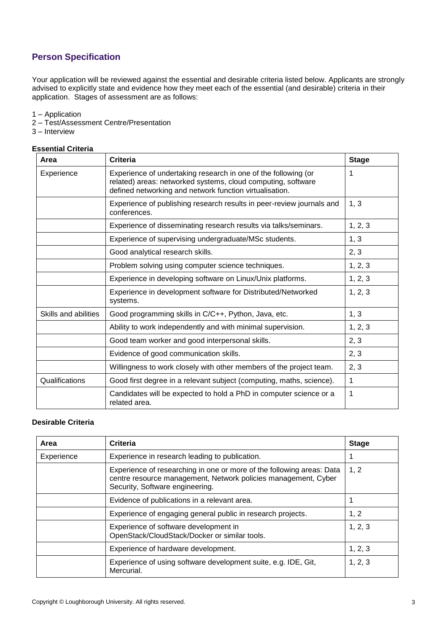# **Person Specification**

Your application will be reviewed against the essential and desirable criteria listed below. Applicants are strongly advised to explicitly state and evidence how they meet each of the essential (and desirable) criteria in their application. Stages of assessment are as follows:

- 1 Application
- 2 Test/Assessment Centre/Presentation
- 3 Interview

#### **Essential Criteria**

| Area                 | Criteria                                                                                                                                                                                  | <b>Stage</b> |
|----------------------|-------------------------------------------------------------------------------------------------------------------------------------------------------------------------------------------|--------------|
| Experience           | Experience of undertaking research in one of the following (or<br>related) areas: networked systems, cloud computing, software<br>defined networking and network function virtualisation. | 1            |
|                      | Experience of publishing research results in peer-review journals and<br>conferences.                                                                                                     | 1, 3         |
|                      | Experience of disseminating research results via talks/seminars.                                                                                                                          | 1, 2, 3      |
|                      | Experience of supervising undergraduate/MSc students.                                                                                                                                     | 1, 3         |
|                      | Good analytical research skills.                                                                                                                                                          | 2, 3         |
|                      | Problem solving using computer science techniques.                                                                                                                                        | 1, 2, 3      |
|                      | Experience in developing software on Linux/Unix platforms.                                                                                                                                | 1, 2, 3      |
|                      | Experience in development software for Distributed/Networked<br>systems.                                                                                                                  | 1, 2, 3      |
| Skills and abilities | Good programming skills in C/C++, Python, Java, etc.                                                                                                                                      | 1, 3         |
|                      | Ability to work independently and with minimal supervision.                                                                                                                               | 1, 2, 3      |
|                      | Good team worker and good interpersonal skills.                                                                                                                                           | 2, 3         |
|                      | Evidence of good communication skills.                                                                                                                                                    | 2, 3         |
|                      | Willingness to work closely with other members of the project team.                                                                                                                       | 2, 3         |
| Qualifications       | Good first degree in a relevant subject (computing, maths, science).                                                                                                                      | 1            |
|                      | Candidates will be expected to hold a PhD in computer science or a<br>related area.                                                                                                       | 1            |

#### **Desirable Criteria**

| Area       | Criteria                                                                                                                                                                   | <b>Stage</b> |
|------------|----------------------------------------------------------------------------------------------------------------------------------------------------------------------------|--------------|
| Experience | Experience in research leading to publication.                                                                                                                             |              |
|            | Experience of researching in one or more of the following areas: Data<br>centre resource management, Network policies management, Cyber<br>Security, Software engineering. | 1, 2         |
|            | Evidence of publications in a relevant area.                                                                                                                               |              |
|            | Experience of engaging general public in research projects.                                                                                                                | 1, 2         |
|            | Experience of software development in<br>OpenStack/CloudStack/Docker or similar tools.                                                                                     | 1, 2, 3      |
|            | Experience of hardware development.                                                                                                                                        | 1, 2, 3      |
|            | Experience of using software development suite, e.g. IDE, Git,<br>Mercurial.                                                                                               | 1, 2, 3      |